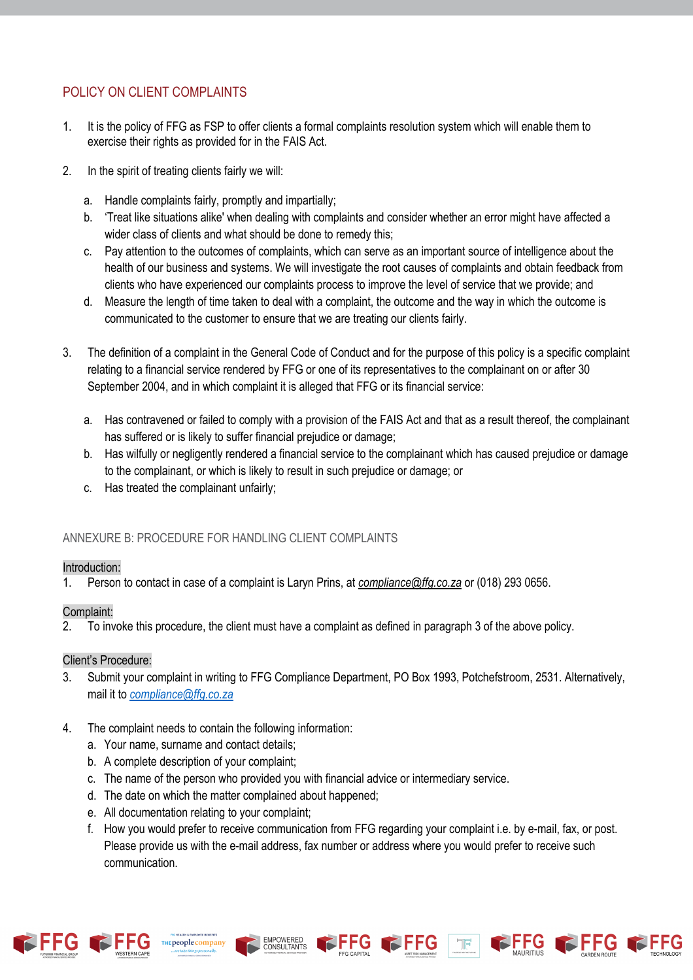# POLICY ON CLIENT COMPLAINTS

- 1. It is the policy of FFG as FSP to offer clients a formal complaints resolution system which will enable them to exercise their rights as provided for in the FAIS Act.
- 2. In the spirit of treating clients fairly we will:
	- a. Handle complaints fairly, promptly and impartially;
	- b. 'Treat like situations alike' when dealing with complaints and consider whether an error might have affected a wider class of clients and what should be done to remedy this;
	- c. Pay attention to the outcomes of complaints, which can serve as an important source of intelligence about the health of our business and systems. We will investigate the root causes of complaints and obtain feedback from clients who have experienced our complaints process to improve the level of service that we provide; and
	- d. Measure the length of time taken to deal with a complaint, the outcome and the way in which the outcome is communicated to the customer to ensure that we are treating our clients fairly.
- 3. The definition of a complaint in the General Code of Conduct and for the purpose of this policy is a specific complaint relating to a financial service rendered by FFG or one of its representatives to the complainant on or after 30 September 2004, and in which complaint it is alleged that FFG or its financial service:
	- a. Has contravened or failed to comply with a provision of the FAIS Act and that as a result thereof, the complainant has suffered or is likely to suffer financial prejudice or damage;
	- b. Has wilfully or negligently rendered a financial service to the complainant which has caused prejudice or damage to the complainant, or which is likely to result in such prejudice or damage; or
	- c. Has treated the complainant unfairly;

# ANNEXURE B: PROCEDURE FOR HANDLING CLIENT COMPLAINTS

#### Introduction:

1. Person to contact in case of a complaint is Laryn Prins, at *compliance@ffg.co.za* or (018) 293 0656.

#### Complaint:

2. To invoke this procedure, the client must have a complaint as defined in paragraph 3 of the above policy.

#### Client's Procedure:

- 3. Submit your complaint in writing to FFG Compliance Department, PO Box 1993, Potchefstroom, 2531. Alternatively, mail it to *compliance@ffg.co.za*
- 4. The complaint needs to contain the following information:
	- a. Your name, surname and contact details;
	- b. A complete description of your complaint;
	- c. The name of the person who provided you with financial advice or intermediary service.

**EMPOWERED** 

CONSULTANTS

- d. The date on which the matter complained about happened;
- e. All documentation relating to your complaint;
- f. How you would prefer to receive communication from FFG regarding your complaint i.e. by e-mail, fax, or post. Please provide us with the e-mail address, fax number or address where you would prefer to receive such communication.





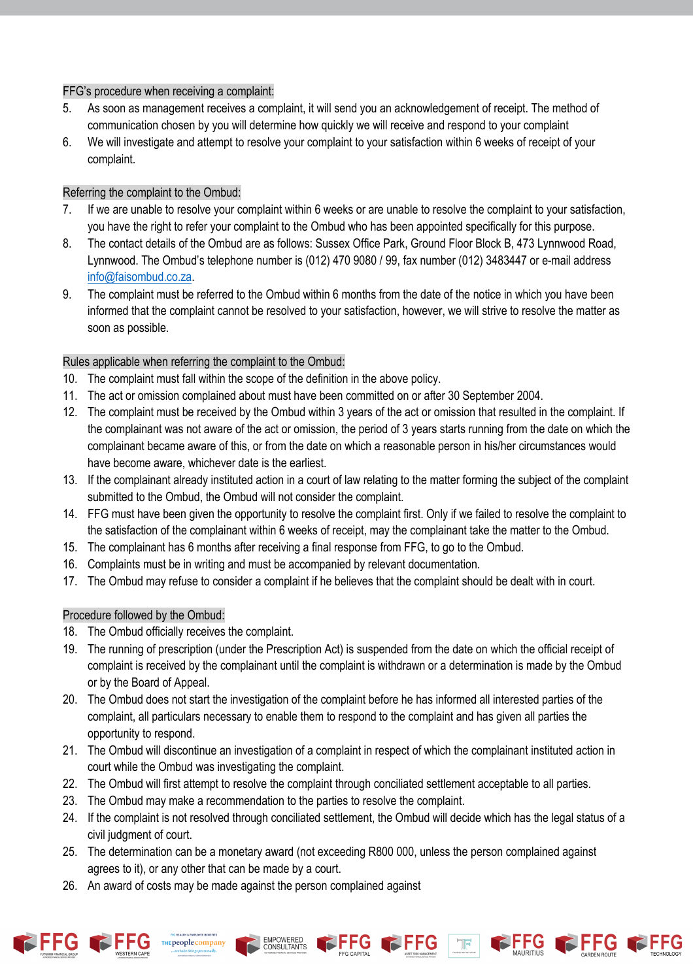#### FFG's procedure when receiving a complaint:

- 5. As soon as management receives a complaint, it will send you an acknowledgement of receipt. The method of communication chosen by you will determine how quickly we will receive and respond to your complaint
- 6. We will investigate and attempt to resolve your complaint to your satisfaction within 6 weeks of receipt of your complaint.

### Referring the complaint to the Ombud:

- 7. If we are unable to resolve your complaint within 6 weeks or are unable to resolve the complaint to your satisfaction, you have the right to refer your complaint to the Ombud who has been appointed specifically for this purpose.
- 8. The contact details of the Ombud are as follows: Sussex Office Park, Ground Floor Block B, 473 Lynnwood Road, Lynnwood. The Ombud's telephone number is (012) 470 9080 / 99, fax number (012) 3483447 or e-mail address info@faisombud.co.za.
- 9. The complaint must be referred to the Ombud within 6 months from the date of the notice in which you have been informed that the complaint cannot be resolved to your satisfaction, however, we will strive to resolve the matter as soon as possible.

## Rules applicable when referring the complaint to the Ombud:

- 10. The complaint must fall within the scope of the definition in the above policy.
- 11. The act or omission complained about must have been committed on or after 30 September 2004.
- 12. The complaint must be received by the Ombud within 3 years of the act or omission that resulted in the complaint. If the complainant was not aware of the act or omission, the period of 3 years starts running from the date on which the complainant became aware of this, or from the date on which a reasonable person in his/her circumstances would have become aware, whichever date is the earliest.
- 13. If the complainant already instituted action in a court of law relating to the matter forming the subject of the complaint submitted to the Ombud, the Ombud will not consider the complaint.
- 14. FFG must have been given the opportunity to resolve the complaint first. Only if we failed to resolve the complaint to the satisfaction of the complainant within 6 weeks of receipt, may the complainant take the matter to the Ombud.
- 15. The complainant has 6 months after receiving a final response from FFG, to go to the Ombud.
- 16. Complaints must be in writing and must be accompanied by relevant documentation.
- 17. The Ombud may refuse to consider a complaint if he believes that the complaint should be dealt with in court.

#### Procedure followed by the Ombud:

- 18. The Ombud officially receives the complaint.
- 19. The running of prescription (under the Prescription Act) is suspended from the date on which the official receipt of complaint is received by the complainant until the complaint is withdrawn or a determination is made by the Ombud or by the Board of Appeal.
- 20. The Ombud does not start the investigation of the complaint before he has informed all interested parties of the complaint, all particulars necessary to enable them to respond to the complaint and has given all parties the opportunity to respond.
- 21. The Ombud will discontinue an investigation of a complaint in respect of which the complainant instituted action in court while the Ombud was investigating the complaint.
- 22. The Ombud will first attempt to resolve the complaint through conciliated settlement acceptable to all parties.
- 23. The Ombud may make a recommendation to the parties to resolve the complaint.

EMPOWERED<br>CONSULTANTS

24. If the complaint is not resolved through conciliated settlement, the Ombud will decide which has the legal status of a civil judgment of court.

FFFG

- 25. The determination can be a monetary award (not exceeding R800 000, unless the person complained against agrees to it), or any other that can be made by a court.
- 26. An award of costs may be made against the person complained against